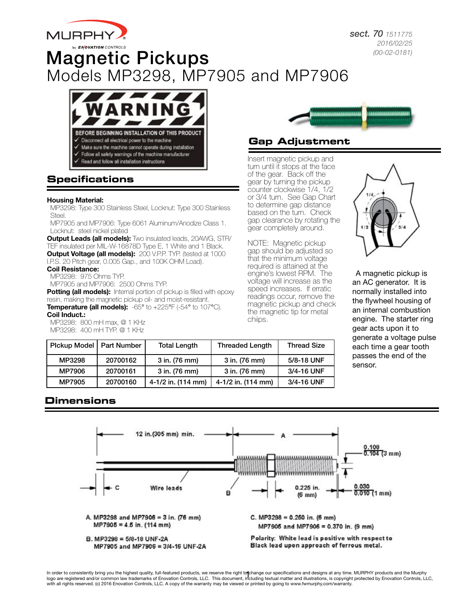

*sect. 70 1511775 2016/02/25 (00-02-0181)*

# Magnetic Pickups Models MP3298, MP7905 and MP7906



# **Specifications**

#### Housing Material:

MP3298: Type 300 Stainless Steel, Locknut: Type 300 Stainless Steel.

MP7905 and MP7906: Type 6061 Aluminum/Anodize Class 1. Locknut: steel nickel plated

**Output Leads (all models):** Two insulated leads, 20AWG, STR/ TEF insulated per MIL-W-16878D Type E, 1 White and 1 Black. **Output Voltage (all models):** 200 V.P.P. TYP. (tested at 1000 I.P.S. 20 Pitch gear, 0.005 Gap., and 100K OHM Load).

Coil Resistance:

MP3298: 975 Ohms TYP. MP7905 and MP7906: 2500 Ohms TYP.

**Potting (all models):** Internal portion of pickup is filled with epoxy resin, making the magnetic pickup oil- and moist-resistant. Temperature (all models): -65° to +225°F (-54° to 107°C). Coil Induct.:

MP3298: 800 mH max, @ 1 KHz MP3298: 400 mH TYP. @ 1 KHz



# **Gap Adjustment**

Insert magnetic pickup and turn until it stops at the face of the gear. Back off the gear by turning the pickup counter clockwise 1/4, 1/2 or 3/4 turn. See Gap Chart to determine gap distance based on the turn. Check gap clearance by rotating the gear completely around.

NOTE: Magnetic pickup gap should be adjusted so that the minimum voltage required is attained at the engine's lowest RPM. The voltage will increase as the speed increases. If erratic readings occur, remove the magnetic pickup and check the magnetic tip for metal chiips.



A magnetic pickup is an AC generator. It is normally installed into the flywheel housing of an internal combustion engine. The starter ring gear acts upon it to generate a voltage pulse each time a gear tooth passes the end of the sensor.

| Pickup Model   Part Number |          | <b>Total Length</b>    | <b>Threaded Length</b> | <b>Thread Size</b> |
|----------------------------|----------|------------------------|------------------------|--------------------|
| MP3298                     | 20700162 | 3 in. (76 mm)          | 3 in. (76 mm)          | 5/8-18 UNF         |
| MP7906                     | 20700161 | 3 in. (76 mm)          | 3 in. (76 mm)          | 3/4-16 UNF         |
| MP7905                     | 20700160 | $4-1/2$ in. $(114$ mm) | 4-1/2 in. (114 mm)     | 3/4-16 UNF         |

# **Dimensions**



In order to consistently bring you the highest quality, full-featured products, we reserve the right to change our specifications and designs at any time. MURPHY products and the Murphy<br>logo are registered and/or common la with all rights reserved. (c) 2016 Enovation Controls, LLC. A copy of the warranty may be viewed or printed by going to www.fwmurphy.com/warranty.